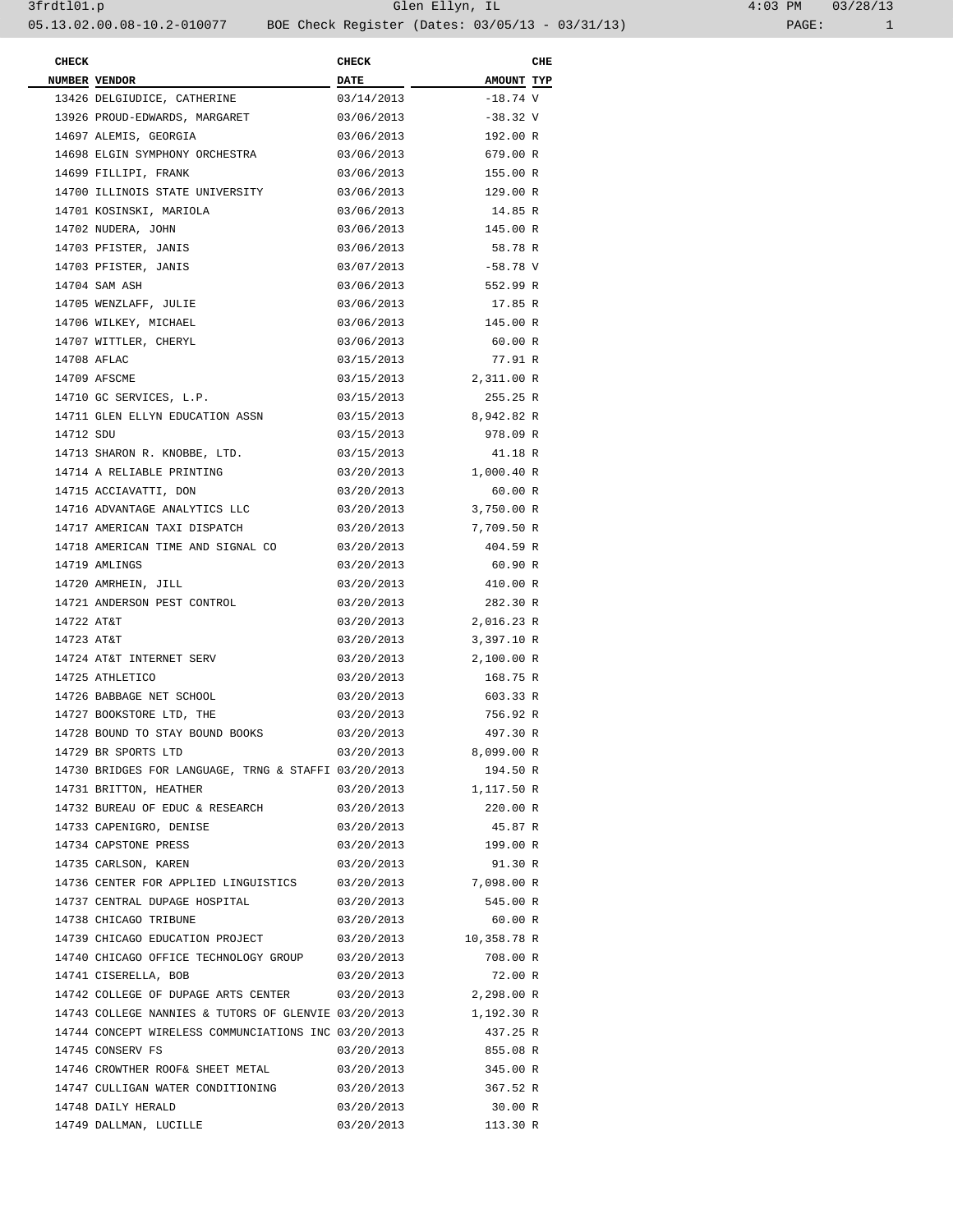| <b>CHECK</b> |                                                            | <b>CHECK</b> |                        | CHE |
|--------------|------------------------------------------------------------|--------------|------------------------|-----|
|              | NUMBER VENDOR                                              | <b>DATE</b>  | AMOUNT TYP             |     |
|              | 13426 DELGIUDICE, CATHERINE                                | 03/14/2013   | $-18.74$ V             |     |
|              | 13926 PROUD-EDWARDS, MARGARET                              | 03/06/2013   | $-38.32 \text{ V}$     |     |
|              | 14697 ALEMIS, GEORGIA                                      | 03/06/2013   | 192.00 R               |     |
|              | 14698 ELGIN SYMPHONY ORCHESTRA                             | 03/06/2013   | 679.00 R               |     |
|              | 14699 FILLIPI, FRANK                                       | 03/06/2013   | 155.00 R               |     |
|              | 14700 ILLINOIS STATE UNIVERSITY                            | 03/06/2013   | 129.00 R               |     |
|              | 14701 KOSINSKI, MARIOLA                                    | 03/06/2013   | 14.85 R                |     |
|              | 14702 NUDERA, JOHN                                         | 03/06/2013   | 145.00 R               |     |
|              | 14703 PFISTER, JANIS                                       | 03/06/2013   | 58.78 R                |     |
|              | 14703 PFISTER, JANIS                                       | 03/07/2013   | -58.78 V               |     |
|              | 14704 SAM ASH                                              | 03/06/2013   | 552.99 R               |     |
|              | 14705 WENZLAFF, JULIE                                      | 03/06/2013   | 17.85 R                |     |
|              | 14706 WILKEY, MICHAEL                                      | 03/06/2013   | 145.00 R               |     |
|              | 14707 WITTLER, CHERYL                                      | 03/06/2013   | 60.00 R                |     |
|              | 14708 AFLAC                                                | 03/15/2013   | 77.91 R                |     |
|              | 14709 AFSCME                                               | 03/15/2013   | 2,311.00 R             |     |
|              | 14710 GC SERVICES, L.P.                                    | 03/15/2013   | 255.25 R               |     |
|              | 14711 GLEN ELLYN EDUCATION ASSN                            | 03/15/2013   | 8,942.82 R             |     |
| 14712 SDU    |                                                            | 03/15/2013   | 978.09 R               |     |
|              | 14713 SHARON R. KNOBBE, LTD.                               | 03/15/2013   | 41.18 R                |     |
|              | 14714 A RELIABLE PRINTING                                  | 03/20/2013   | 1,000.40 R             |     |
|              | 14715 ACCIAVATTI, DON                                      | 03/20/2013   | 60.00 R                |     |
|              |                                                            |              |                        |     |
|              | 14716 ADVANTAGE ANALYTICS LLC                              | 03/20/2013   | 3,750.00 R             |     |
|              | 14717 AMERICAN TAXI DISPATCH                               | 03/20/2013   | 7,709.50 R             |     |
|              | 14718 AMERICAN TIME AND SIGNAL CO                          | 03/20/2013   | 404.59 R               |     |
|              | 14719 AMLINGS                                              | 03/20/2013   | 60.90 R                |     |
|              | 14720 AMRHEIN, JILL                                        | 03/20/2013   | 410.00 R               |     |
|              | 14721 ANDERSON PEST CONTROL                                | 03/20/2013   | 282.30 R               |     |
| 14722 AT&T   |                                                            | 03/20/2013   | 2,016.23 R             |     |
| 14723 AT&T   |                                                            | 03/20/2013   | 3,397.10 R             |     |
|              | 14724 AT&T INTERNET SERV                                   | 03/20/2013   | 2,100.00 R             |     |
|              | 14725 ATHLETICO                                            | 03/20/2013   | 168.75 R               |     |
|              | 14726 BABBAGE NET SCHOOL                                   | 03/20/2013   | 603.33 R               |     |
|              | 14727 BOOKSTORE LTD, THE                                   | 03/20/2013   | 756.92 R               |     |
|              | 14728 BOUND TO STAY BOUND BOOKS                            | 03/20/2013   | 497.30 R               |     |
|              | 14729 BR SPORTS LTD                                        | 03/20/2013   | 8,099.00 R             |     |
|              | 14730 BRIDGES FOR LANGUAGE, TRNG & STAFFI 03/20/2013       |              | 194.50 R               |     |
|              | 14731 BRITTON, HEATHER                                     |              | 03/20/2013 1,117.50 R  |     |
|              | 14732 BUREAU OF EDUC & RESEARCH                            | 03/20/2013   | 220.00 R               |     |
|              | 14733 CAPENIGRO, DENISE                                    | 03/20/2013   | 45.87 R                |     |
|              | 14734 CAPSTONE PRESS                                       | 03/20/2013   | 199.00 R               |     |
|              | 14735 CARLSON, KAREN                                       | 03/20/2013   | 91.30 R                |     |
|              | 14736 CENTER FOR APPLIED LINGUISTICS 03/20/2013 7,098.00 R |              |                        |     |
|              | 14737 CENTRAL DUPAGE HOSPITAL                              | 03/20/2013   | 545.00 R               |     |
|              | 14738 CHICAGO TRIBUNE                                      | 03/20/2013   | 60.00 R                |     |
|              | 14739 CHICAGO EDUCATION PROJECT                            |              | 03/20/2013 10,358.78 R |     |
|              | 14740 CHICAGO OFFICE TECHNOLOGY GROUP 03/20/2013           |              | 708.00 R               |     |
|              | 14741 CISERELLA, BOB                                       | 03/20/2013   | 72.00 R                |     |
|              | 14742 COLLEGE OF DUPAGE ARTS CENTER 03/20/2013 2,298.00 R  |              |                        |     |
|              | 14743 COLLEGE NANNIES & TUTORS OF GLENVIE 03/20/2013       |              | 1,192.30 R             |     |
|              | 14744 CONCEPT WIRELESS COMMUNCIATIONS INC 03/20/2013       |              | 437.25 R               |     |
|              | 14745 CONSERV FS                                           | 03/20/2013   | 855.08 R               |     |
|              | 14746 CROWTHER ROOF& SHEET METAL                           | 03/20/2013   | 345.00 R               |     |
|              | 14747 CULLIGAN WATER CONDITIONING                          | 03/20/2013   | 367.52 R               |     |
|              | 14748 DAILY HERALD                                         | 03/20/2013   | 30.00 R                |     |
|              | 14749 DALLMAN, LUCILLE                                     | 03/20/2013   | 113.30 R               |     |
|              |                                                            |              |                        |     |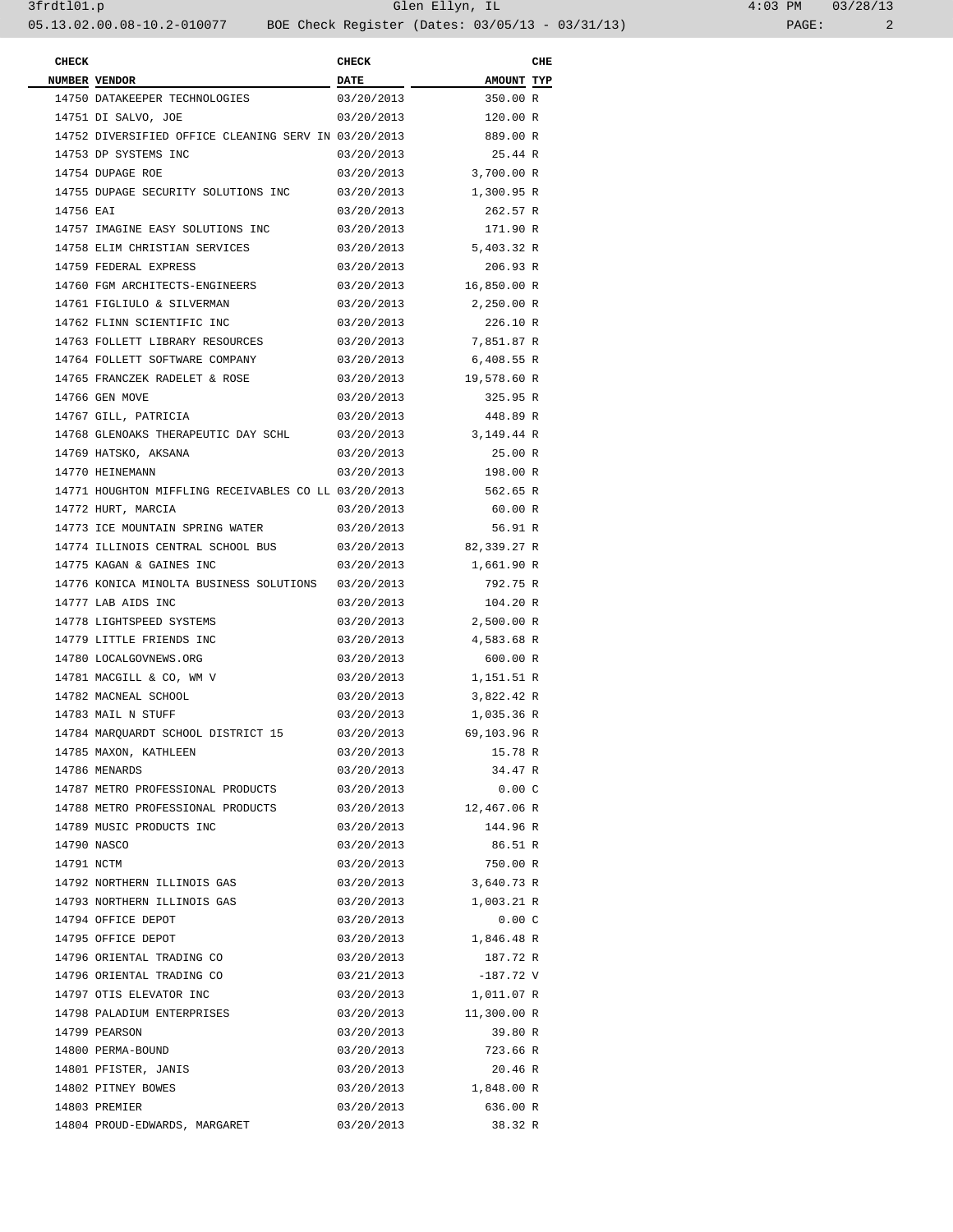| $4:03$ PM |       | 03/28/13 |
|-----------|-------|----------|
|           | PAGE: |          |

| <b>CHECK</b> |                                                                              | <b>CHECK</b> |                         | CHE |
|--------------|------------------------------------------------------------------------------|--------------|-------------------------|-----|
|              | <b>NUMBER VENDOR</b>                                                         | <b>DATE</b>  | <b>AMOUNT TYP</b>       |     |
|              | 14750 DATAKEEPER TECHNOLOGIES                                                | 03/20/2013   | 350.00 R                |     |
|              | 14751 DI SALVO, JOE                                                          | 03/20/2013   | 120.00 R                |     |
|              | 14752 DIVERSIFIED OFFICE CLEANING SERV IN 03/20/2013<br>14753 DP SYSTEMS INC |              | 889.00 R                |     |
|              |                                                                              | 03/20/2013   | 25.44 R                 |     |
|              | 14754 DUPAGE ROE                                                             | 03/20/2013   | 3,700.00 R              |     |
|              | 14755 DUPAGE SECURITY SOLUTIONS INC                                          | 03/20/2013   | 1,300.95 R              |     |
| 14756 EAI    |                                                                              | 03/20/2013   | 262.57 R                |     |
|              | 14757 IMAGINE EASY SOLUTIONS INC                                             | 03/20/2013   | 171.90 R                |     |
|              | 14758 ELIM CHRISTIAN SERVICES                                                | 03/20/2013   | 5,403.32 R              |     |
|              | 14759 FEDERAL EXPRESS<br>14760 FGM ARCHITECTS-ENGINEERS                      | 03/20/2013   | 206.93 R<br>16,850.00 R |     |
|              |                                                                              | 03/20/2013   |                         |     |
|              | 14761 FIGLIULO & SILVERMAN                                                   | 03/20/2013   | 2,250.00 R              |     |
|              | 14762 FLINN SCIENTIFIC INC                                                   | 03/20/2013   | 226.10 R                |     |
|              | 14763 FOLLETT LIBRARY RESOURCES                                              | 03/20/2013   | 7,851.87 R              |     |
|              | 14764 FOLLETT SOFTWARE COMPANY                                               | 03/20/2013   | 6,408.55 R              |     |
|              | 14765 FRANCZEK RADELET & ROSE                                                | 03/20/2013   | 19,578.60 R             |     |
|              | 14766 GEN MOVE                                                               | 03/20/2013   | 325.95 R                |     |
|              | 14767 GILL, PATRICIA                                                         | 03/20/2013   | 448.89 R                |     |
|              | 14768 GLENOAKS THERAPEUTIC DAY SCHL                                          | 03/20/2013   | 3,149.44 R              |     |
|              | 14769 HATSKO, AKSANA                                                         | 03/20/2013   | 25.00 R                 |     |
|              | 14770 HEINEMANN                                                              | 03/20/2013   | 198.00 R                |     |
|              | 14771 HOUGHTON MIFFLING RECEIVABLES CO LL 03/20/2013                         |              | 562.65 R                |     |
|              | 14772 HURT, MARCIA                                                           | 03/20/2013   | 60.00 R                 |     |
|              | 14773 ICE MOUNTAIN SPRING WATER                                              | 03/20/2013   | 56.91 R                 |     |
|              | 14774 ILLINOIS CENTRAL SCHOOL BUS                                            | 03/20/2013   | 82,339.27 R             |     |
|              | 14775 KAGAN & GAINES INC                                                     | 03/20/2013   | 1,661.90 R              |     |
|              | 14776 KONICA MINOLTA BUSINESS SOLUTIONS 03/20/2013                           |              | 792.75 R                |     |
|              | 14777 LAB AIDS INC                                                           | 03/20/2013   | 104.20 R                |     |
|              | 14778 LIGHTSPEED SYSTEMS                                                     | 03/20/2013   | 2,500.00 R              |     |
|              | 14779 LITTLE FRIENDS INC                                                     | 03/20/2013   | 4,583.68 R              |     |
|              | 14780 LOCALGOVNEWS.ORG                                                       | 03/20/2013   | 600.00 R                |     |
|              | 14781 MACGILL & CO, WM V                                                     | 03/20/2013   | 1,151.51 R              |     |
|              | 14782 MACNEAL SCHOOL                                                         | 03/20/2013   | 3,822.42 R              |     |
|              | 14783 MAIL N STUFF                                                           | 03/20/2013   | 1,035.36 R              |     |
|              | 14784 MARQUARDT SCHOOL DISTRICT 15                                           | 03/20/2013   | 69,103.96 R             |     |
|              | 14785 MAXON, KATHLEEN                                                        | 03/20/2013   | 15.78 R                 |     |
|              | 14786 MENARDS                                                                | 03/20/2013   | 34.47 R                 |     |
|              | 14787 METRO PROFESSIONAL PRODUCTS                                            | 03/20/2013   | 0.00C                   |     |
|              | 14788 METRO PROFESSIONAL PRODUCTS                                            | 03/20/2013   | 12,467.06 R             |     |
|              | 14789 MUSIC PRODUCTS INC                                                     | 03/20/2013   | 144.96 R                |     |
|              | 14790 NASCO                                                                  | 03/20/2013   | 86.51 R                 |     |
| 14791 NCTM   |                                                                              | 03/20/2013   | 750.00 R                |     |
|              | 14792 NORTHERN ILLINOIS GAS                                                  | 03/20/2013   | 3,640.73 R              |     |
|              | 14793 NORTHERN ILLINOIS GAS                                                  | 03/20/2013   | 1,003.21 R              |     |
|              | 14794 OFFICE DEPOT                                                           | 03/20/2013   | 0.00C                   |     |
|              | 14795 OFFICE DEPOT                                                           | 03/20/2013   | 1,846.48 R              |     |
|              | 14796 ORIENTAL TRADING CO                                                    | 03/20/2013   | 187.72 R                |     |
|              | 14796 ORIENTAL TRADING CO                                                    | 03/21/2013   | $-187.72$ V             |     |
|              | 14797 OTIS ELEVATOR INC                                                      | 03/20/2013   | 1,011.07 R              |     |
|              | 14798 PALADIUM ENTERPRISES                                                   | 03/20/2013   | 11,300.00 R             |     |
|              | 14799 PEARSON                                                                | 03/20/2013   | 39.80 R                 |     |
|              | 14800 PERMA-BOUND                                                            | 03/20/2013   | 723.66 R                |     |
|              | 14801 PFISTER, JANIS                                                         | 03/20/2013   | 20.46 R                 |     |
|              | 14802 PITNEY BOWES                                                           | 03/20/2013   | 1,848.00 R              |     |
|              | 14803 PREMIER                                                                | 03/20/2013   | 636.00 R                |     |
|              | 14804 PROUD-EDWARDS, MARGARET                                                | 03/20/2013   | 38.32 R                 |     |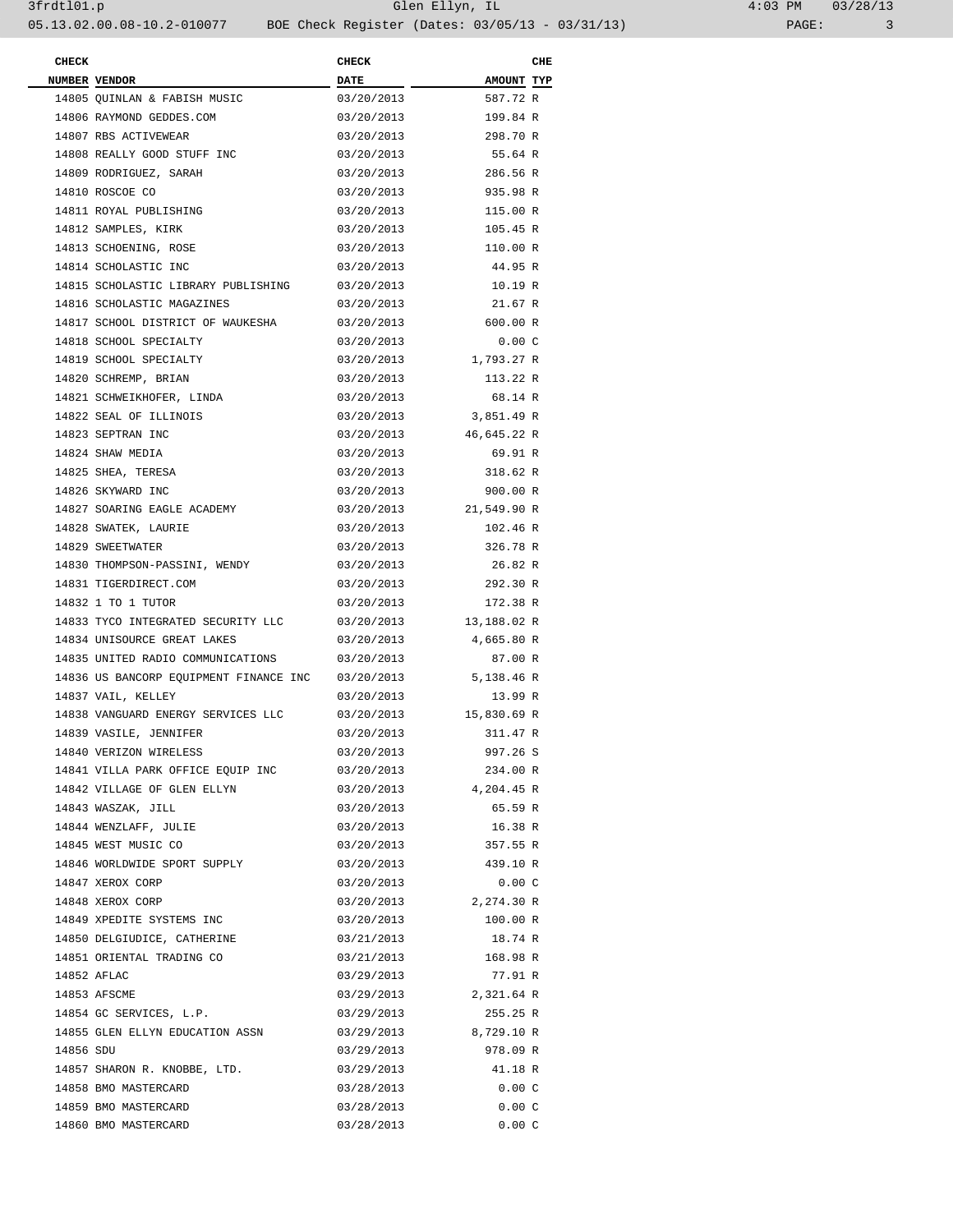| <b>CHECK</b> |                                        | <b>CHECK</b> |             | CHE |
|--------------|----------------------------------------|--------------|-------------|-----|
|              | NUMBER VENDOR                          | <b>DATE</b>  | AMOUNT TYP  |     |
|              | 14805 QUINLAN & FABISH MUSIC           | 03/20/2013   | 587.72 R    |     |
|              | 14806 RAYMOND GEDDES.COM               | 03/20/2013   | 199.84 R    |     |
|              | 14807 RBS ACTIVEWEAR                   | 03/20/2013   | 298.70 R    |     |
|              | 14808 REALLY GOOD STUFF INC            | 03/20/2013   | 55.64 R     |     |
|              | 14809 RODRIGUEZ, SARAH                 | 03/20/2013   | 286.56 R    |     |
|              | 14810 ROSCOE CO                        | 03/20/2013   | 935.98 R    |     |
|              | 14811 ROYAL PUBLISHING                 | 03/20/2013   | 115.00 R    |     |
|              | 14812 SAMPLES, KIRK                    | 03/20/2013   | 105.45 R    |     |
|              | 14813 SCHOENING, ROSE                  | 03/20/2013   | 110.00 R    |     |
|              | 14814 SCHOLASTIC INC                   | 03/20/2013   | 44.95 R     |     |
|              | 14815 SCHOLASTIC LIBRARY PUBLISHING    | 03/20/2013   | 10.19 R     |     |
|              | 14816 SCHOLASTIC MAGAZINES             | 03/20/2013   | 21.67 R     |     |
|              | 14817 SCHOOL DISTRICT OF WAUKESHA      | 03/20/2013   | 600.00 R    |     |
|              | 14818 SCHOOL SPECIALTY                 | 03/20/2013   | 0.00C       |     |
|              | 14819 SCHOOL SPECIALTY                 | 03/20/2013   | 1,793.27 R  |     |
|              | 14820 SCHREMP, BRIAN                   | 03/20/2013   | 113.22 R    |     |
|              | 14821 SCHWEIKHOFER, LINDA              | 03/20/2013   | 68.14 R     |     |
|              | 14822 SEAL OF ILLINOIS                 | 03/20/2013   | 3,851.49 R  |     |
|              | 14823 SEPTRAN INC                      | 03/20/2013   | 46,645.22 R |     |
|              | 14824 SHAW MEDIA                       | 03/20/2013   | 69.91 R     |     |
|              | 14825 SHEA, TERESA                     | 03/20/2013   | 318.62 R    |     |
|              | 14826 SKYWARD INC                      | 03/20/2013   | 900.00 R    |     |
|              |                                        |              |             |     |
|              | 14827 SOARING EAGLE ACADEMY            | 03/20/2013   | 21,549.90 R |     |
|              | 14828 SWATEK, LAURIE                   | 03/20/2013   | 102.46 R    |     |
|              | 14829 SWEETWATER                       | 03/20/2013   | 326.78 R    |     |
|              | 14830 THOMPSON-PASSINI, WENDY          | 03/20/2013   | 26.82 R     |     |
|              | 14831 TIGERDIRECT.COM                  | 03/20/2013   | 292.30 R    |     |
|              | 14832 1 TO 1 TUTOR                     | 03/20/2013   | 172.38 R    |     |
|              | 14833 TYCO INTEGRATED SECURITY LLC     | 03/20/2013   | 13,188.02 R |     |
|              | 14834 UNISOURCE GREAT LAKES            | 03/20/2013   | 4,665.80 R  |     |
|              | 14835 UNITED RADIO COMMUNICATIONS      | 03/20/2013   | 87.00 R     |     |
|              | 14836 US BANCORP EQUIPMENT FINANCE INC | 03/20/2013   | 5,138.46 R  |     |
|              | 14837 VAIL, KELLEY                     | 03/20/2013   | 13.99 R     |     |
|              | 14838 VANGUARD ENERGY SERVICES LLC     | 03/20/2013   | 15,830.69 R |     |
|              | 14839 VASILE, JENNIFER                 | 03/20/2013   | 311.47 R    |     |
|              | 14840 VERIZON WIRELESS                 | 03/20/2013   | 997.26 S    |     |
|              | 14841 VILLA PARK OFFICE EQUIP INC      | 03/20/2013   | 234.00 R    |     |
|              | 14842 VILLAGE OF GLEN ELLYN            | 03/20/2013   | 4,204.45 R  |     |
|              | 14843 WASZAK, JILL                     | 03/20/2013   | 65.59 R     |     |
|              | 14844 WENZLAFF, JULIE                  | 03/20/2013   | 16.38 R     |     |
|              | 14845 WEST MUSIC CO                    | 03/20/2013   | 357.55 R    |     |
|              | 14846 WORLDWIDE SPORT SUPPLY           | 03/20/2013   | 439.10 R    |     |
|              | 14847 XEROX CORP                       | 03/20/2013   | 0.00C       |     |
|              | 14848 XEROX CORP                       | 03/20/2013   | 2,274.30 R  |     |
|              | 14849 XPEDITE SYSTEMS INC              | 03/20/2013   | 100.00 R    |     |
|              | 14850 DELGIUDICE, CATHERINE            | 03/21/2013   | 18.74 R     |     |
|              | 14851 ORIENTAL TRADING CO              | 03/21/2013   | 168.98 R    |     |
|              | 14852 AFLAC                            | 03/29/2013   | 77.91 R     |     |
|              | 14853 AFSCME                           | 03/29/2013   | 2,321.64 R  |     |
|              | 14854 GC SERVICES, L.P.                | 03/29/2013   | 255.25 R    |     |
|              | 14855 GLEN ELLYN EDUCATION ASSN        | 03/29/2013   | 8,729.10 R  |     |
| 14856 SDU    |                                        | 03/29/2013   | 978.09 R    |     |
|              | 14857 SHARON R. KNOBBE, LTD.           | 03/29/2013   | 41.18 R     |     |
|              | 14858 BMO MASTERCARD                   | 03/28/2013   | 0.00C       |     |
|              | 14859 BMO MASTERCARD                   | 03/28/2013   | 0.00C       |     |
|              | 14860 BMO MASTERCARD                   | 03/28/2013   | 0.00C       |     |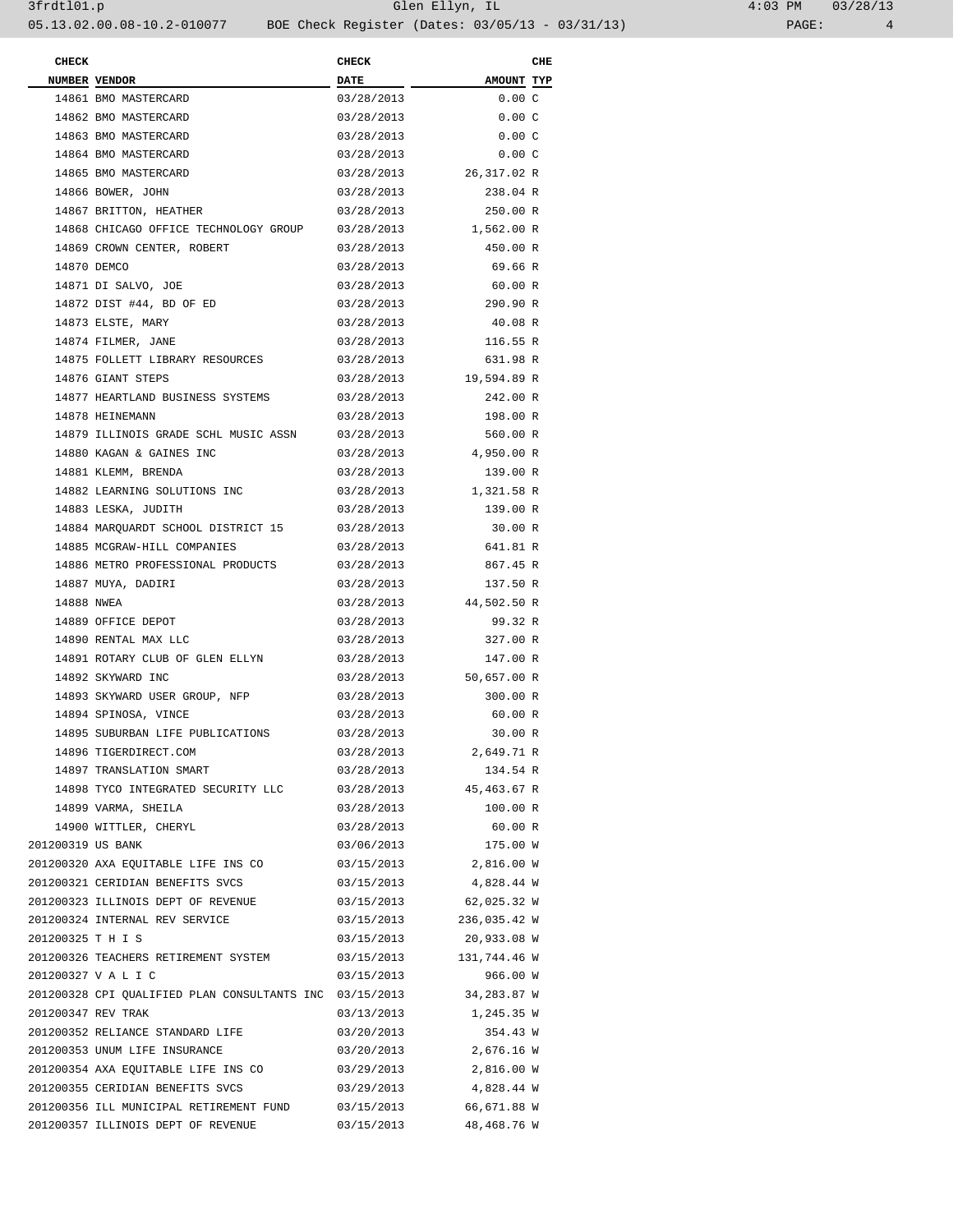| <b>CHECK</b>       |                                                                     | <b>CHECK</b> |                                   | CHE |
|--------------------|---------------------------------------------------------------------|--------------|-----------------------------------|-----|
|                    | NUMBER VENDOR                                                       | <b>DATE</b>  | AMOUNT TYP                        |     |
|                    | 14861 BMO MASTERCARD                                                | 03/28/2013   | $0.00\,$ C                        |     |
|                    | 14862 BMO MASTERCARD                                                | 03/28/2013   | 0.00C                             |     |
|                    | 14863 BMO MASTERCARD                                                | 03/28/2013   | 0.00C                             |     |
|                    | 14864 BMO MASTERCARD                                                | 03/28/2013   | 0.00C                             |     |
|                    | 14865 BMO MASTERCARD                                                | 03/28/2013   | 26,317.02 R                       |     |
|                    | 14866 BOWER, JOHN                                                   | 03/28/2013   | 238.04 R                          |     |
|                    | 14867 BRITTON, HEATHER                                              | 03/28/2013   | 250.00 R                          |     |
|                    | 14868 CHICAGO OFFICE TECHNOLOGY GROUP 03/28/2013                    |              | 1,562.00 R                        |     |
|                    | 14869 CROWN CENTER, ROBERT                                          | 03/28/2013   | 450.00 R                          |     |
|                    |                                                                     |              |                                   |     |
|                    | 14870 DEMCO                                                         | 03/28/2013   | 69.66 R                           |     |
|                    | 14871 DI SALVO, JOE                                                 | 03/28/2013   | 60.00 R                           |     |
|                    | 14872 DIST #44, BD OF ED                                            | 03/28/2013   | 290.90 R                          |     |
|                    | 14873 ELSTE, MARY                                                   | 03/28/2013   | 40.08 R                           |     |
|                    | 14874 FILMER, JANE                                                  | 03/28/2013   | 116.55 R                          |     |
|                    | 14875 FOLLETT LIBRARY RESOURCES                                     | 03/28/2013   | 631.98 R                          |     |
|                    | 14876 GIANT STEPS                                                   | 03/28/2013   | 19,594.89 R                       |     |
|                    | 14877 HEARTLAND BUSINESS SYSTEMS                                    | 03/28/2013   | 242.00 R                          |     |
|                    | 14878 HEINEMANN                                                     | 03/28/2013   | 198.00 R                          |     |
|                    | 14879 ILLINOIS GRADE SCHL MUSIC ASSN                                | 03/28/2013   | 560.00 R                          |     |
|                    | 14880 KAGAN & GAINES INC                                            | 03/28/2013   | 4,950.00 R                        |     |
|                    | 14881 KLEMM, BRENDA                                                 | 03/28/2013   | 139.00 R                          |     |
|                    | 14882 LEARNING SOLUTIONS INC                                        | 03/28/2013   | 1,321.58 R                        |     |
|                    | 14883 LESKA, JUDITH                                                 | 03/28/2013   | 139.00 R                          |     |
|                    | 14884 MARQUARDT SCHOOL DISTRICT 15                                  | 03/28/2013   | 30.00 R                           |     |
|                    | 14885 MCGRAW-HILL COMPANIES                                         | 03/28/2013   | 641.81 R                          |     |
|                    | 14886 METRO PROFESSIONAL PRODUCTS                                   | 03/28/2013   | 867.45 R                          |     |
|                    | 14887 MUYA, DADIRI                                                  | 03/28/2013   | 137.50 R                          |     |
| 14888 NWEA         |                                                                     | 03/28/2013   | 44,502.50 R                       |     |
|                    | 14889 OFFICE DEPOT                                                  | 03/28/2013   | 99.32 R                           |     |
|                    | 14890 RENTAL MAX LLC                                                | 03/28/2013   | 327.00 R                          |     |
|                    | 14891 ROTARY CLUB OF GLEN ELLYN                                     | 03/28/2013   | 147.00 R                          |     |
|                    | 14892 SKYWARD INC                                                   | 03/28/2013   | 50,657.00 R                       |     |
|                    | 14893 SKYWARD USER GROUP, NFP                                       | 03/28/2013   | 300.00 R                          |     |
|                    | 14894 SPINOSA, VINCE                                                | 03/28/2013   | 60.00 R                           |     |
|                    | 14895 SUBURBAN LIFE PUBLICATIONS                                    | 03/28/2013   | 30.00 R                           |     |
|                    | 14896 TIGERDIRECT.COM                                               | 03/28/2013   | 2,649.71 R                        |     |
|                    | 14897 TRANSLATION SMART                                             | 03/28/2013   | 134.54 R                          |     |
|                    | 14898 TYCO INTEGRATED SECURITY LLC 03/28/2013 45,463.67 R           |              |                                   |     |
|                    | 14899 VARMA, SHEILA                                                 | 03/28/2013   | 100.00 R                          |     |
|                    | 14900 WITTLER, CHERYL                                               | 03/28/2013   | 60.00 R                           |     |
| 201200319 US BANK  |                                                                     | 03/06/2013   | 175.00 W                          |     |
|                    | 201200320 AXA EQUITABLE LIFE INS CO                                 |              | 03/15/2013 2,816.00 W             |     |
|                    | 201200321 CERIDIAN BENEFITS SVCS                                    | 03/15/2013   | 4,828.44 W                        |     |
|                    | 201200323 ILLINOIS DEPT OF REVENUE                                  |              | 03/15/2013 62,025.32 W            |     |
|                    | 201200324 INTERNAL REV SERVICE                                      |              | 03/15/2013 236,035.42 W           |     |
| 201200325 T H I S  |                                                                     | 03/15/2013   | 20,933.08 W                       |     |
|                    | 201200326 TEACHERS RETIREMENT SYSTEM 03/15/2013 131,744.46 W        |              |                                   |     |
|                    | 201200327 V A L I C                                                 | 03/15/2013   | 966.00 W                          |     |
|                    | 201200328 CPI QUALIFIED PLAN CONSULTANTS INC 03/15/2013 34,283.87 W |              |                                   |     |
| 201200347 REV TRAK |                                                                     | 03/13/2013   |                                   |     |
|                    | 201200352 RELIANCE STANDARD LIFE                                    |              | 1,245.35 W                        |     |
|                    |                                                                     | 03/20/2013   | 354.43 W<br>03/20/2013 2,676.16 W |     |
|                    | 201200353 UNUM LIFE INSURANCE                                       |              |                                   |     |
|                    | 201200354 AXA EQUITABLE LIFE INS CO                                 | 03/29/2013   | 2,816.00 W                        |     |
|                    | 201200355 CERIDIAN BENEFITS SVCS                                    | 03/29/2013   | 4,828.44 W                        |     |
|                    | 201200356 ILL MUNICIPAL RETIREMENT FUND 03/15/2013 66,671.88 W      |              |                                   |     |
|                    | 201200357 ILLINOIS DEPT OF REVENUE                                  | 03/15/2013   | 48,468.76 W                       |     |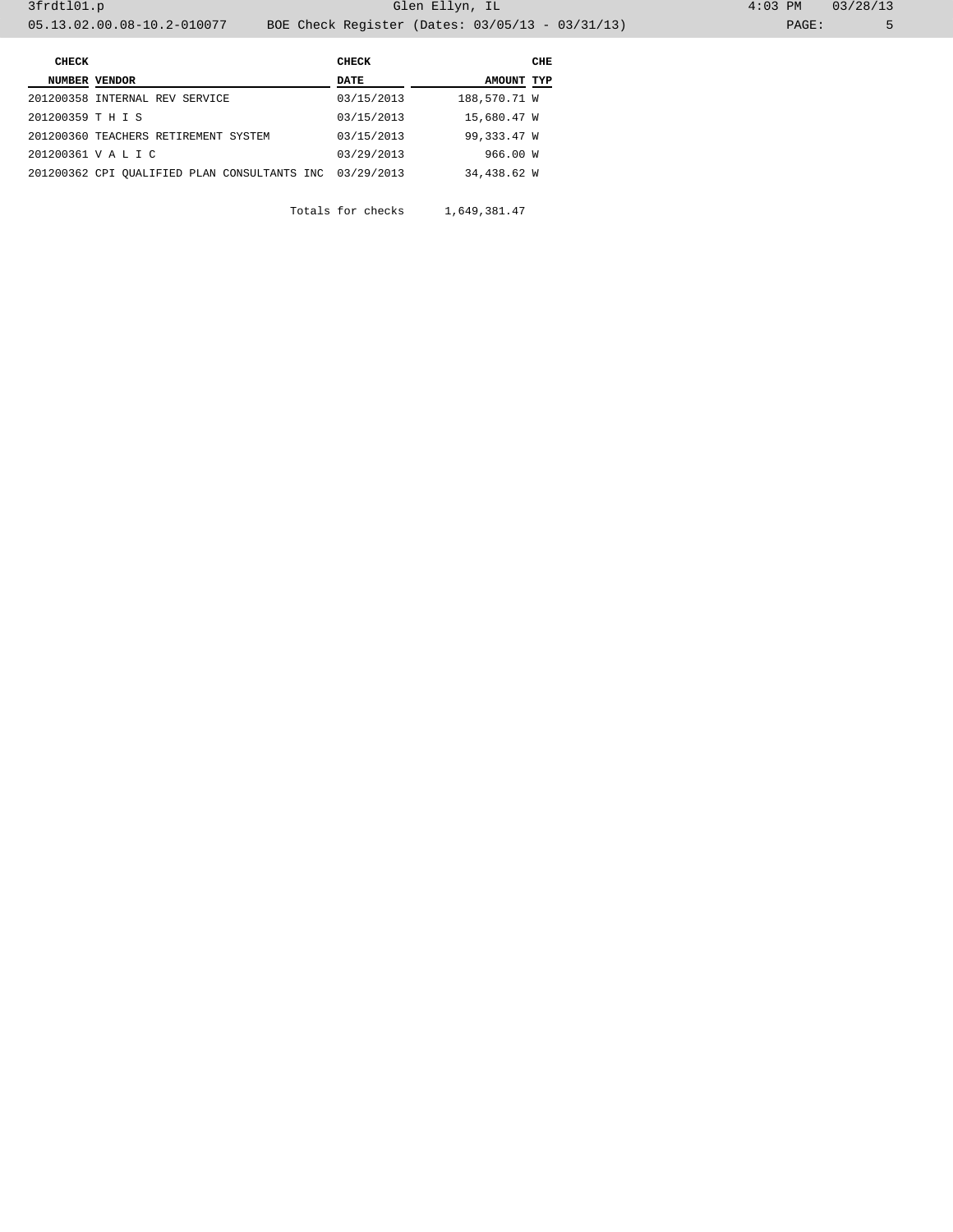|       | CHECK                                                                                                                               |                                                         | CHE                                                                                 |
|-------|-------------------------------------------------------------------------------------------------------------------------------------|---------------------------------------------------------|-------------------------------------------------------------------------------------|
|       | DATE                                                                                                                                |                                                         |                                                                                     |
|       | 03/15/2013                                                                                                                          |                                                         |                                                                                     |
|       | 03/15/2013                                                                                                                          |                                                         |                                                                                     |
|       | 03/15/2013                                                                                                                          |                                                         |                                                                                     |
|       | 03/29/2013                                                                                                                          |                                                         |                                                                                     |
|       |                                                                                                                                     |                                                         |                                                                                     |
| CHECK | NUMBER VENDOR<br>201200358 INTERNAL REV SERVICE<br>201200359 T H I S<br>201200360 TEACHERS RETIREMENT SYSTEM<br>201200361 V A L I C | 201200362 CPI QUALIFIED PLAN CONSULTANTS INC 03/29/2013 | AMOUNT TYP<br>188,570.71 W<br>15,680.47 W<br>99,333.47 W<br>966.00 W<br>34,438.62 W |

Totals for checks 1,649,381.47